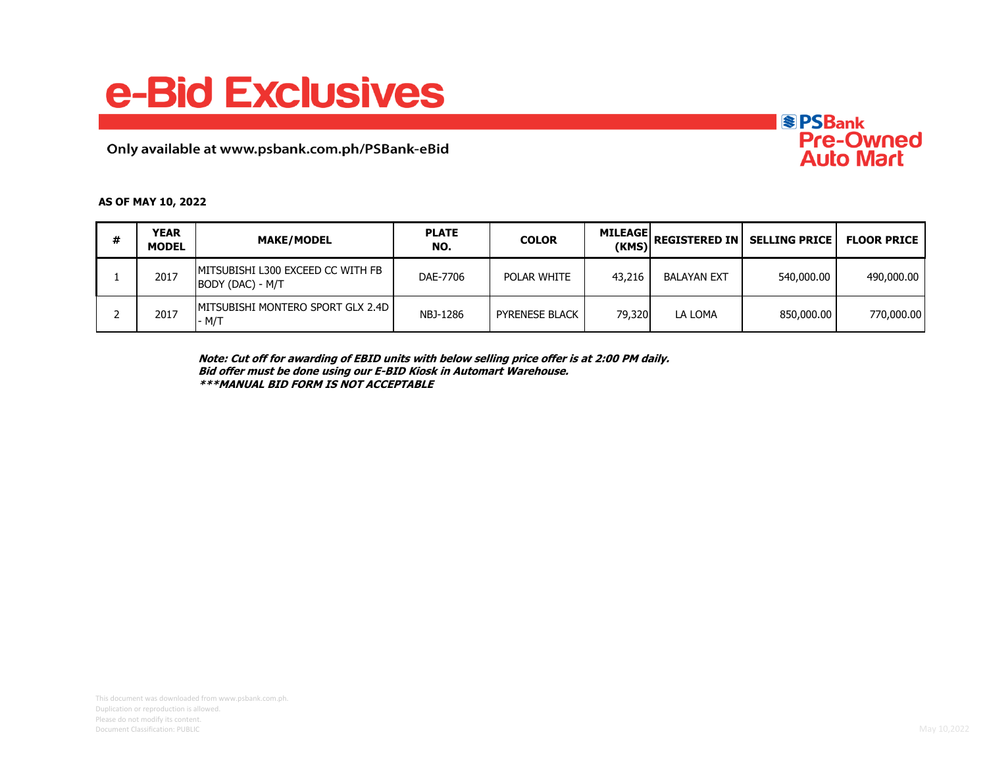## e-Bid Exclusives

Only available at www.psbank.com.ph/PSBank-eBid



## **AS OF MAY 10, 2022**

| # | <b>YEAR</b><br><b>MODEL</b> | <b>MAKE/MODEL</b>                                      | <b>PLATE</b><br>NO. | <b>COLOR</b>          | <b>MILEAGE</b> | $\frac{12280L}{(KMS)}$ REGISTERED IN | SELLING PRICE   FLOOR PRICE |            |
|---|-----------------------------|--------------------------------------------------------|---------------------|-----------------------|----------------|--------------------------------------|-----------------------------|------------|
|   | 2017                        | IMITSUBISHI L300 EXCEED CC WITH FB<br>BODY (DAC) - M/T | DAE-7706            | POLAR WHITE           | 43,216         | <b>BALAYAN EXT</b>                   | 540,000,00                  | 490,000.00 |
|   | 2017                        | <b>IMITSUBISHI MONTERO SPORT GLX 2.4D I</b><br>- M/T   | NBJ-1286            | <b>PYRENESE BLACK</b> | 79,320         | LA LOMA                              | 850,000,00                  | 770,000.00 |

**Note: Cut off for awarding of EBID units with below selling price offer is at 2:00 PM daily. Bid offer must be done using our E-BID Kiosk in Automart Warehouse. \*\*\*MANUAL BID FORM IS NOT ACCEPTABLE**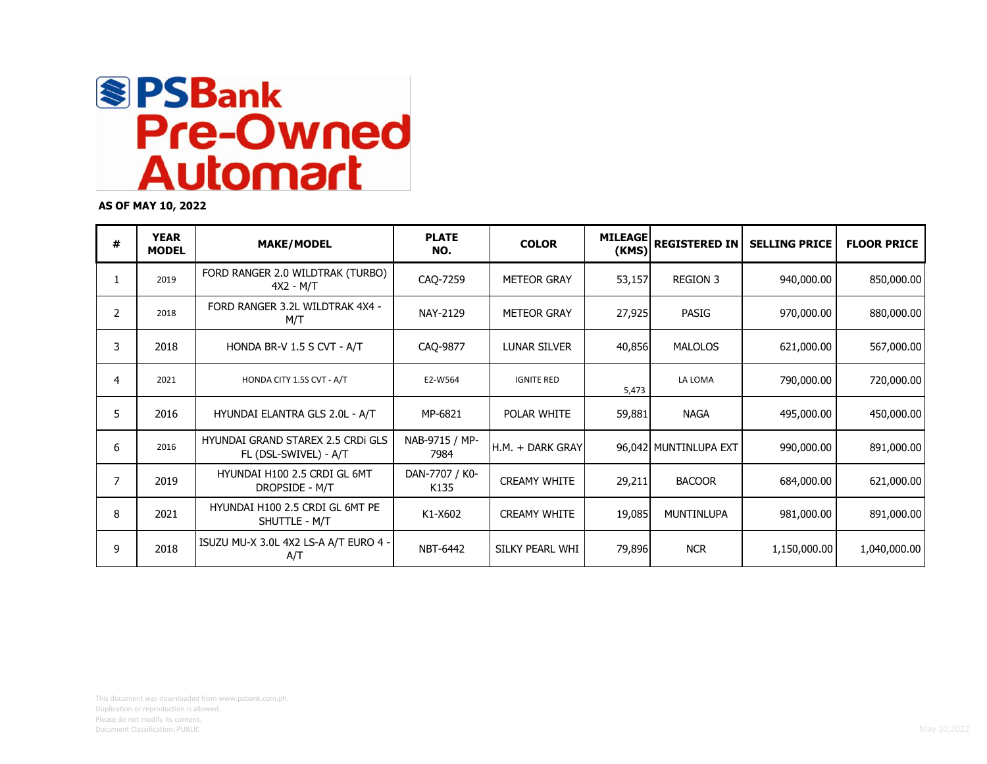

**AS OF MAY 10, 2022**

| # | <b>YEAR</b><br><b>MODEL</b> | <b>MAKE/MODEL</b>                                                 | <b>PLATE</b><br>NO.    | <b>COLOR</b>        | <b>MILEAGE</b><br>(KMS) | <b>REGISTERED IN</b>  | <b>SELLING PRICE</b> | <b>FLOOR PRICE</b> |
|---|-----------------------------|-------------------------------------------------------------------|------------------------|---------------------|-------------------------|-----------------------|----------------------|--------------------|
| 1 | 2019                        | FORD RANGER 2.0 WILDTRAK (TURBO)<br>4X2 - M/T                     | CAQ-7259               | <b>METEOR GRAY</b>  | 53,157                  | <b>REGION 3</b>       | 940,000.00           | 850,000.00         |
| 2 | 2018                        | FORD RANGER 3.2L WILDTRAK 4X4 -<br>M/T                            | NAY-2129               | <b>METEOR GRAY</b>  | 27,925                  | PASIG                 | 970,000.00           | 880,000.00         |
| 3 | 2018                        | HONDA BR-V 1.5 S CVT - A/T                                        | CAO-9877               | LUNAR SILVER        | 40,856                  | <b>MALOLOS</b>        | 621,000.00           | 567,000.00         |
| 4 | 2021                        | HONDA CITY 1.5S CVT - A/T                                         | E2-W564                | <b>IGNITE RED</b>   | 5,473                   | LA LOMA               | 790,000.00           | 720,000.00         |
| 5 | 2016                        | HYUNDAI ELANTRA GLS 2.0L - A/T                                    | MP-6821                | POLAR WHITE         | 59,881                  | <b>NAGA</b>           | 495,000.00           | 450,000.00         |
| 6 | 2016                        | <b>HYUNDAI GRAND STAREX 2.5 CRDI GLS</b><br>FL (DSL-SWIVEL) - A/T | NAB-9715 / MP-<br>7984 | H.M. + DARK GRAY    |                         | 96,042 MUNTINLUPA EXT | 990,000.00           | 891,000.00         |
| 7 | 2019                        | HYUNDAI H100 2.5 CRDI GL 6MT<br>DROPSIDE - M/T                    | DAN-7707 / K0-<br>K135 | <b>CREAMY WHITE</b> | 29,211                  | <b>BACOOR</b>         | 684,000.00           | 621,000.00         |
| 8 | 2021                        | HYUNDAI H100 2.5 CRDI GL 6MT PE<br>SHUTTLE - M/T                  | K1-X602                | <b>CREAMY WHITE</b> | 19,085                  | MUNTINLUPA            | 981,000.00           | 891,000.00         |
| 9 | 2018                        | ISUZU MU-X 3.0L 4X2 LS-A A/T EURO 4 -<br>A/T                      | NBT-6442               | SILKY PEARL WHI     | 79,896                  | <b>NCR</b>            | 1,150,000.00         | 1,040,000.00       |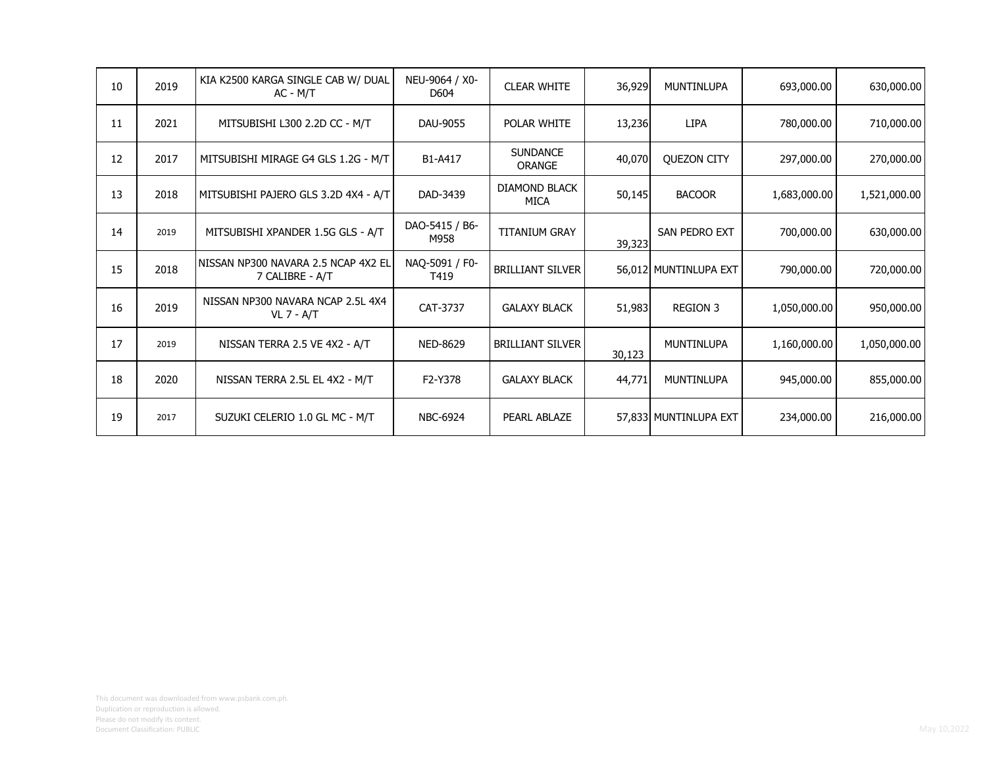| 10 | 2019 | KIA K2500 KARGA SINGLE CAB W/ DUAL<br>$AC - M/T$       | NEU-9064 / X0-<br>D604 | <b>CLEAR WHITE</b>                  | 36,929 | <b>MUNTINLUPA</b>     | 693,000.00   | 630,000.00   |
|----|------|--------------------------------------------------------|------------------------|-------------------------------------|--------|-----------------------|--------------|--------------|
| 11 | 2021 | MITSUBISHI L300 2.2D CC - M/T                          | DAU-9055               | POLAR WHITE                         | 13,236 | <b>LIPA</b>           | 780,000.00   | 710,000.00   |
| 12 | 2017 | MITSUBISHI MIRAGE G4 GLS 1.2G - M/T                    | B1-A417                | <b>SUNDANCE</b><br><b>ORANGE</b>    | 40,070 | <b>QUEZON CITY</b>    | 297,000.00   | 270,000.00   |
| 13 | 2018 | MITSUBISHI PAJERO GLS 3.2D 4X4 - A/T                   | DAD-3439               | <b>DIAMOND BLACK</b><br><b>MICA</b> | 50,145 | <b>BACOOR</b>         | 1,683,000.00 | 1,521,000.00 |
| 14 | 2019 | MITSUBISHI XPANDER 1.5G GLS - A/T                      | DAO-5415 / B6-<br>M958 | <b>TITANIUM GRAY</b>                | 39,323 | SAN PEDRO EXT         | 700,000.00   | 630,000.00   |
| 15 | 2018 | NISSAN NP300 NAVARA 2.5 NCAP 4X2 EL<br>7 CALIBRE - A/T | NAQ-5091 / F0-<br>T419 | <b>BRILLIANT SILVER</b>             |        | 56,012 MUNTINLUPA EXT | 790,000.00   | 720,000.00   |
| 16 | 2019 | NISSAN NP300 NAVARA NCAP 2.5L 4X4<br><b>VL 7 - A/T</b> | CAT-3737               | <b>GALAXY BLACK</b>                 | 51,983 | <b>REGION 3</b>       | 1,050,000.00 | 950,000.00   |
| 17 | 2019 | NISSAN TERRA 2.5 VE 4X2 - A/T                          | NED-8629               | <b>BRILLIANT SILVER</b>             | 30,123 | MUNTINLUPA            | 1,160,000.00 | 1,050,000.00 |
| 18 | 2020 | NISSAN TERRA 2.5L EL 4X2 - M/T                         | F2-Y378                | <b>GALAXY BLACK</b>                 | 44,771 | MUNTINLUPA            | 945,000.00   | 855,000.00   |
| 19 | 2017 | SUZUKI CELERIO 1.0 GL MC - M/T                         | <b>NBC-6924</b>        | PEARL ABLAZE                        |        | 57,833 MUNTINLUPA EXT | 234,000.00   | 216,000.00   |